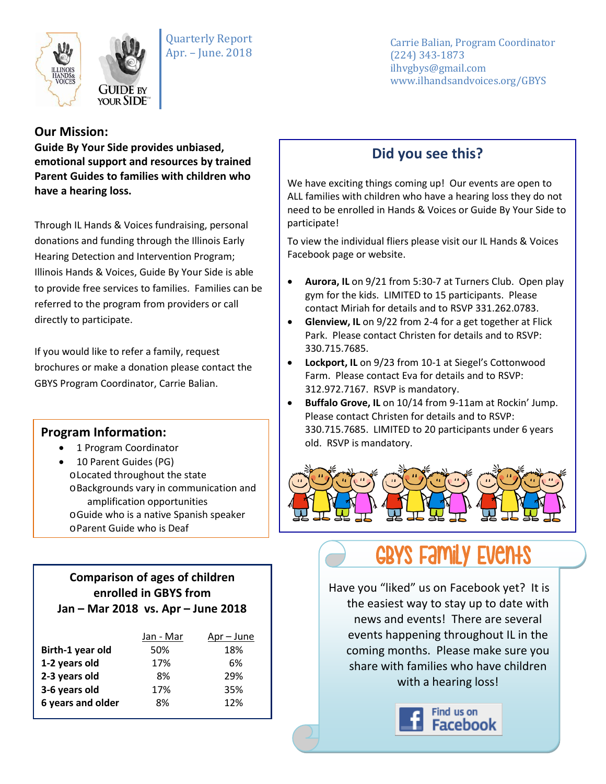

Quarterly Report Apr. – June. 2018

Carrie Balian, Program Coordinator (224) 343-1873 ilhvgbys@gmail.com www.ilhandsandvoices.org/GBYS

## **Our Mission:**

**Guide By Your Side provides unbiased, emotional support and resources by trained Parent Guides to families with children who have a hearing loss.** 

Through IL Hands & Voices fundraising, personal donations and funding through the Illinois Early Hearing Detection and Intervention Program; Illinois Hands & Voices, Guide By Your Side is able to provide free services to families. Families can be referred to the program from providers or call directly to participate.

If you would like to refer a family, request brochures or make a donation please contact the GBYS Program Coordinator, Carrie Balian.

## **Program Information:**

- 1 Program Coordinator
- 10 Parent Guides (PG) oLocated throughout the state oBackgrounds vary in communication and amplification opportunities oGuide who is a native Spanish speaker oParent Guide who is Deaf

#### **Comparison of ages of children enrolled in GBYS from Jan – Mar 2018 vs. Apr – June 2018**

|                   | Jan - Mar | Apr – June |
|-------------------|-----------|------------|
| Birth-1 year old  | 50%       | 18%        |
| 1-2 years old     | 17%       | 6%         |
| 2-3 years old     | 8%        | 29%        |
| 3-6 years old     | 17%       | 35%        |
| 6 years and older | 8%        | 12%        |

## **Did you see this?**

We have exciting things coming up! Our events are open to ALL families with children who have a hearing loss they do not need to be enrolled in Hands & Voices or Guide By Your Side to participate!

To view the individual fliers please visit our IL Hands & Voices Facebook page or website.

- **Aurora, IL** on 9/21 from 5:30-7 at Turners Club. Open play gym for the kids. LIMITED to 15 participants. Please contact Miriah for details and to RSVP 331.262.0783.
- **Glenview, IL** on 9/22 from 2-4 for a get together at Flick Park. Please contact Christen for details and to RSVP: 330.715.7685.
- **Lockport, IL** on 9/23 from 10-1 at Siegel's Cottonwood Farm. Please contact Eva for details and to RSVP: 312.972.7167. RSVP is mandatory.
- **Buffalo Grove, IL** on 10/14 from 9-11am at Rockin' Jump. Please contact Christen for details and to RSVP: 330.715.7685. LIMITED to 20 participants under 6 years old. RSVP is mandatory.



# GBYS FAMILY EVENTS

Have you "liked" us on Facebook yet? It is the easiest way to stay up to date with news and events! There are several events happening throughout IL in the coming months. Please make sure you share with families who have children with a hearing loss!